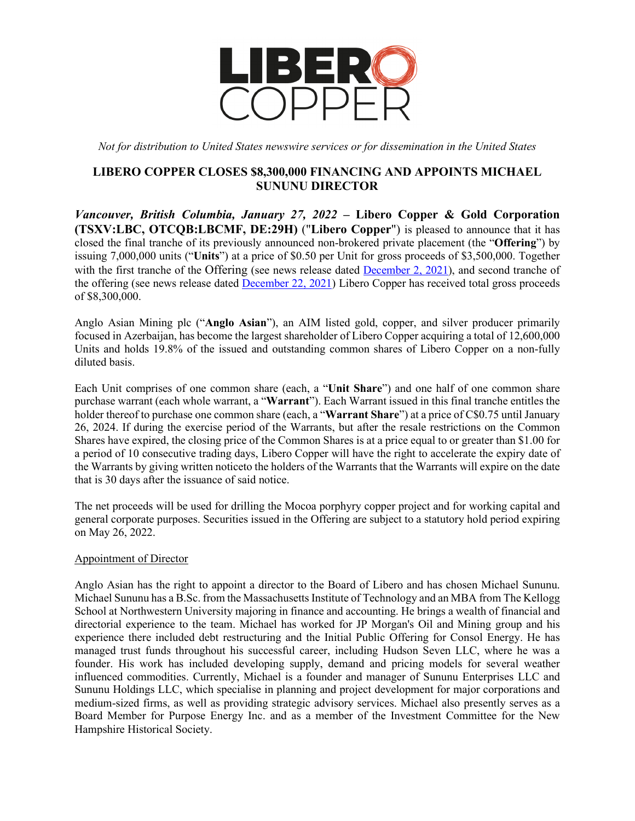

*Not for distribution to United States newswire services or for dissemination in the United States*

# **LIBERO COPPER CLOSES \$8,300,000 FINANCING AND APPOINTS MICHAEL SUNUNU DIRECTOR**

*Vancouver, British Columbia, January 27, 2022* **– Libero Copper & Gold Corporation (TSXV:LBC, OTCQB:LBCMF, DE:29H)** ("**Libero Copper**") is pleased to announce that it has closed the final tranche of its previously announced non-brokered private placement (the "**Offering**") by issuing 7,000,000 units ("**Units**") at a price of \$0.50 per Unit for gross proceeds of \$3,500,000. Together with the first tranche of the Offering (see news release dated [December 2, 2021\)](https://www.liberocopper.com/_resources/news/2021/nr_20211202.pdf), and second tranche of the offering (see news release dated [December 22, 2021\)](https://www.liberocopper.com/_resources/news/nr_20211222.pdf) Libero Copper has received total gross proceeds of \$8,300,000.

Anglo Asian Mining plc ("**Anglo Asian**"), an AIM listed gold, copper, and silver producer primarily focused in Azerbaijan, has become the largest shareholder of Libero Copper acquiring a total of 12,600,000 Units and holds 19.8% of the issued and outstanding common shares of Libero Copper on a non-fully diluted basis.

Each Unit comprises of one common share (each, a "**Unit Share**") and one half of one common share purchase warrant (each whole warrant, a "**Warrant**"). Each Warrant issued in this final tranche entitles the holder thereof to purchase one common share (each, a "**Warrant Share**") at a price of C\$0.75 until January 26, 2024. If during the exercise period of the Warrants, but after the resale restrictions on the Common Shares have expired, the closing price of the Common Shares is at a price equal to or greater than \$1.00 for a period of 10 consecutive trading days, Libero Copper will have the right to accelerate the expiry date of the Warrants by giving written noticeto the holders of the Warrants that the Warrants will expire on the date that is 30 days after the issuance of said notice.

The net proceeds will be used for drilling the Mocoa porphyry copper project and for working capital and general corporate purposes. Securities issued in the Offering are subject to a statutory hold period expiring on May 26, 2022.

# Appointment of Director

Anglo Asian has the right to appoint a director to the Board of Libero and has chosen Michael Sununu. Michael Sununu has a B.Sc. from the Massachusetts Institute of Technology and an MBA from The Kellogg School at Northwestern University majoring in finance and accounting. He brings a wealth of financial and directorial experience to the team. Michael has worked for JP Morgan's Oil and Mining group and his experience there included debt restructuring and the Initial Public Offering for Consol Energy. He has managed trust funds throughout his successful career, including Hudson Seven LLC, where he was a founder. His work has included developing supply, demand and pricing models for several weather influenced commodities. Currently, Michael is a founder and manager of Sununu Enterprises LLC and Sununu Holdings LLC, which specialise in planning and project development for major corporations and medium-sized firms, as well as providing strategic advisory services. Michael also presently serves as a Board Member for Purpose Energy Inc. and as a member of the Investment Committee for the New Hampshire Historical Society.